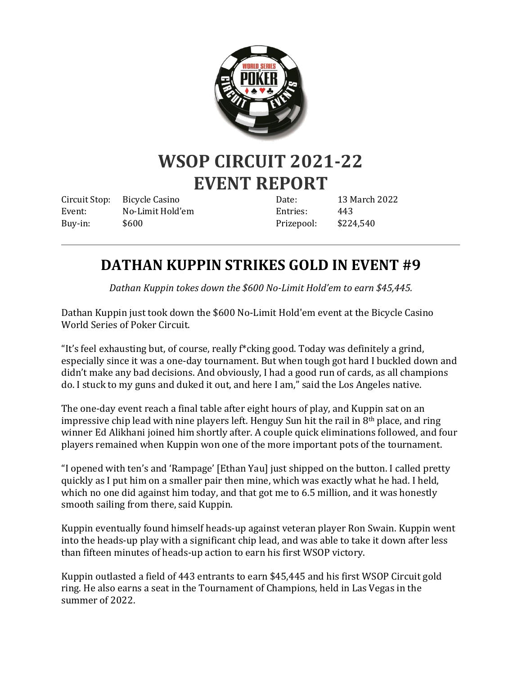

## **WSOP CIRCUIT 2021-22 EVENT REPORT**

Circuit Stop: Bicycle Casino Event: No-Limit Hold'em Buy-in: \$600

Date: 13 March 2022 Entries: 443 Prizepool: \$224,540

## **DATHAN KUPPIN STRIKES GOLD IN EVENT #9**

*Dathan Kuppin tokes down the \$600 No-Limit Hold'em to earn \$45,445.*

Dathan Kuppin just took down the \$600 No-Limit Hold'em event at the Bicycle Casino World Series of Poker Circuit.

"It's feel exhausting but, of course, really f\*cking good. Today was definitely a grind, especially since it was a one-day tournament. But when tough got hard I buckled down and didn't make any bad decisions. And obviously, I had a good run of cards, as all champions do. I stuck to my guns and duked it out, and here I am," said the Los Angeles native.

The one-day event reach a final table after eight hours of play, and Kuppin sat on an impressive chip lead with nine players left. Henguy Sun hit the rail in 8th place, and ring winner Ed Alikhani joined him shortly after. A couple quick eliminations followed, and four players remained when Kuppin won one of the more important pots of the tournament.

"I opened with ten's and 'Rampage' [Ethan Yau] just shipped on the button. I called pretty quickly as I put him on a smaller pair then mine, which was exactly what he had. I held, which no one did against him today, and that got me to 6.5 million, and it was honestly smooth sailing from there, said Kuppin.

Kuppin eventually found himself heads-up against veteran player Ron Swain. Kuppin went into the heads-up play with a significant chip lead, and was able to take it down after less than fifteen minutes of heads-up action to earn his first WSOP victory.

Kuppin outlasted a field of 443 entrants to earn \$45,445 and his first WSOP Circuit gold ring. He also earns a seat in the Tournament of Champions, held in Las Vegas in the summer of 2022.